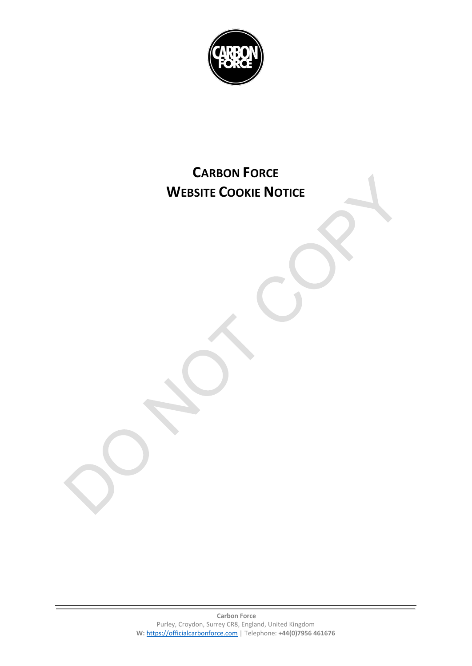

## **CARBON FORCE WEBSITE COOKIE NOTICE**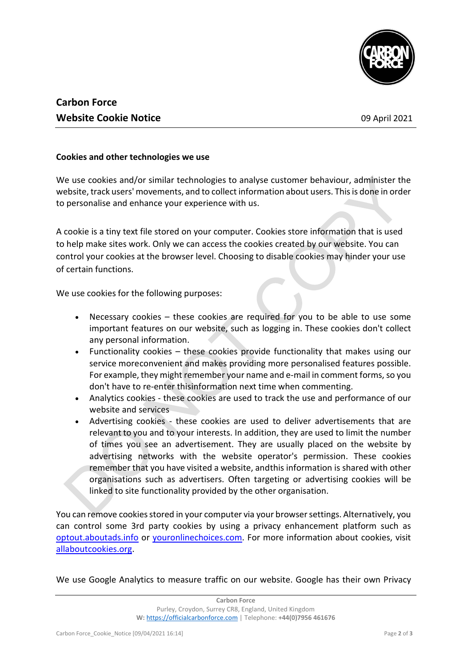

## **Carbon Force Website Cookie Notice 1988 Website Cookie Notice** 1988

## **Cookies and other technologies we use**

We use cookies and/or similar technologies to analyse customer behaviour, administer the website, track users' movements, and to collect information about users. Thisis done in order to personalise and enhance your experience with us.

A cookie is a tiny text file stored on your computer. Cookies store information that is used to help make sites work. Only we can access the cookies created by our website. You can control your cookies at the browser level. Choosing to disable cookies may hinder your use of certain functions.

We use cookies for the following purposes:

- Necessary cookies these cookies are required for you to be able to use some important features on our website, such as logging in. These cookies don't collect any personal information.
- Functionality cookies these cookies provide functionality that makes using our service moreconvenient and makes providing more personalised features possible. For example, they might remember your name and e-mail in comment forms, so you don't have to re-enter thisinformation next time when commenting.
- Analytics cookies these cookies are used to track the use and performance of our website and services
- Advertising cookies these cookies are used to deliver advertisements that are relevant to you and to your interests. In addition, they are used to limit the number of times you see an advertisement. They are usually placed on the website by advertising networks with the website operator's permission. These cookies remember that you have visited a website, andthis information is shared with other organisations such as advertisers. Often targeting or advertising cookies will be linked to site functionality provided by the other organisation.

You can remove cookies stored in your computer via your browser settings. Alternatively, you can control some 3rd party cookies by using a privacy enhancement platform such as [optout.aboutads.info](http://optout.aboutads.info/%23!/) or [youronlinechoices.com.](http://www.youronlinechoices.com/) For more information about cookies, visit [allaboutcookies.org.](http://www.allaboutcookies.org/)

We use Google Analytics to measure traffic on our website. Google has their own Privacy